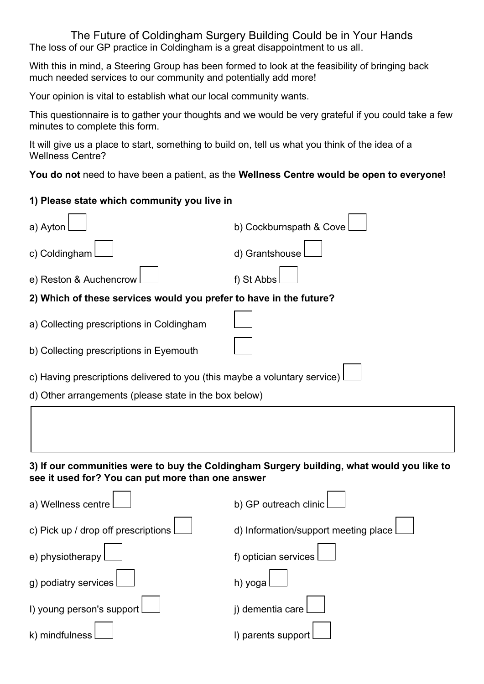The Future of Coldingham Surgery Building Could be in Your Hands The loss of our GP practice in Coldingham is a great disappointment to us all.

With this in mind, a Steering Group has been formed to look at the feasibility of bringing back much needed services to our community and potentially add more!

Your opinion is vital to establish what our local community wants.

This questionnaire is to gather your thoughts and we would be very grateful if you could take a few minutes to complete this form.

It will give us a place to start, something to build on, tell us what you think of the idea of a Wellness Centre?

**You do not** need to have been a patient, as the **Wellness Centre would be open to everyone!**

## **1) Please state which community you live in**

| a) Ayton                                                                                                                                       | b) Cockburnspath & Cove              |
|------------------------------------------------------------------------------------------------------------------------------------------------|--------------------------------------|
| c) Coldingham                                                                                                                                  | d) Grantshouse                       |
| e) Reston & Auchencrow                                                                                                                         | f) St Abbs                           |
| 2) Which of these services would you prefer to have in the future?                                                                             |                                      |
| a) Collecting prescriptions in Coldingham                                                                                                      |                                      |
| b) Collecting prescriptions in Eyemouth                                                                                                        |                                      |
| c) Having prescriptions delivered to you (this maybe a voluntary service)                                                                      |                                      |
| d) Other arrangements (please state in the box below)                                                                                          |                                      |
|                                                                                                                                                |                                      |
| 3) If our communities were to buy the Coldingham Surgery building, what would you like to<br>see it used for? You can put more than one answer |                                      |
| a) Wellness centre                                                                                                                             | b) GP outreach clinic                |
| c) Pick up / drop off prescriptions                                                                                                            | d) Information/support meeting place |
| e) physiotherapy                                                                                                                               | f) optician services                 |
| g) podiatry services                                                                                                                           | h) yoga                              |
| I) young person's support                                                                                                                      | j) dementia care                     |
| k) mindfulness                                                                                                                                 | I) parents support                   |